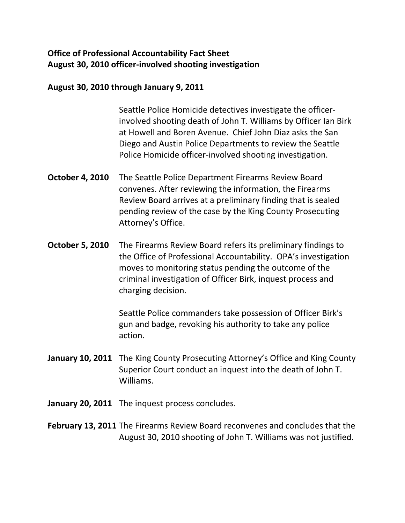## **Office of Professional Accountability Fact Sheet August 30, 2010 officer-involved shooting investigation**

## **August 30, 2010 through January 9, 2011**

Seattle Police Homicide detectives investigate the officerinvolved shooting death of John T. Williams by Officer Ian Birk at Howell and Boren Avenue. Chief John Diaz asks the San Diego and Austin Police Departments to review the Seattle Police Homicide officer-involved shooting investigation.

- **October 4, 2010** The Seattle Police Department Firearms Review Board convenes. After reviewing the information, the Firearms Review Board arrives at a preliminary finding that is sealed pending review of the case by the King County Prosecuting Attorney's Office.
- **October 5, 2010** The Firearms Review Board refers its preliminary findings to the Office of Professional Accountability. OPA's investigation moves to monitoring status pending the outcome of the criminal investigation of Officer Birk, inquest process and charging decision.

Seattle Police commanders take possession of Officer Birk's gun and badge, revoking his authority to take any police action.

- **January 10, 2011** The King County Prosecuting Attorney's Office and King County Superior Court conduct an inquest into the death of John T. Williams.
- **January 20, 2011** The inquest process concludes.

**February 13, 2011** The Firearms Review Board reconvenes and concludes that the August 30, 2010 shooting of John T. Williams was not justified.